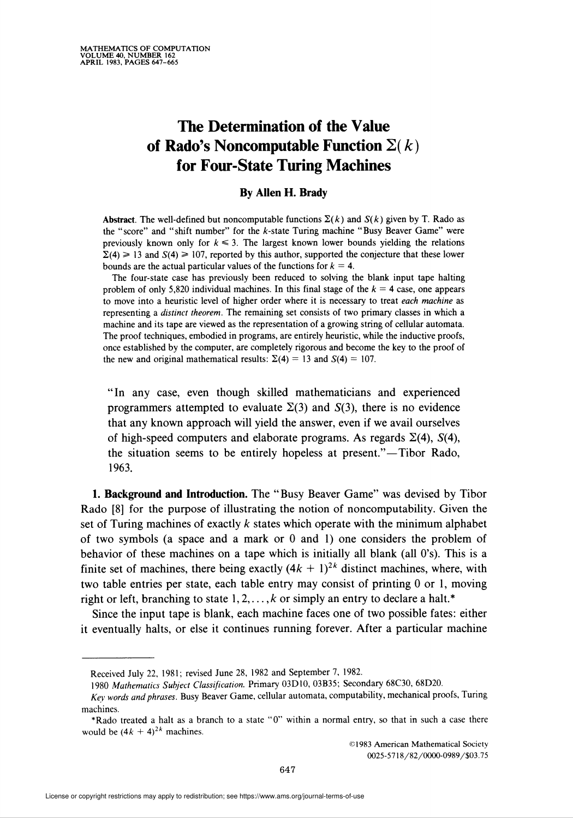# The Determination of the Value of Rado's Noncomputable Function  $\Sigma(k)$ for Four-State Turing Machines

## By Allen H. Brady

Abstract. The well-defined but noncomputable functions  $\Sigma(k)$  and  $S(k)$  given by T. Rado as the "score" and "shift number" for the Ä-state Turing machine "Busy Beaver Game" were previously known only for  $k \leq 3$ . The largest known lower bounds yielding the relations  $\Sigma(4) \ge 13$  and  $S(4) \ge 107$ , reported by this author, supported the conjecture that these lower bounds are the actual particular values of the functions for  $k = 4$ .

The four-state case has previously been reduced to solving the blank input tape halting problem of only 5,820 individual machines. In this final stage of the  $k = 4$  case, one appears to move into a heuristic level of higher order where it is necessary to treat each machine as representing a distinct theorem. The remaining set consists of two primary classes in which a machine and its tape are viewed as the representation of a growing string of cellular automata. The proof techniques, embodied in programs, are entirely heuristic, while the inductive proofs, once established by the computer, are completely rigorous and become the key to the proof of the new and original mathematical results:  $\Sigma(4) = 13$  and  $S(4) = 107$ .

"In any case, even though skilled mathematicians and experienced programmers attempted to evaluate  $\Sigma(3)$  and  $S(3)$ , there is no evidence that any known approach will yield the answer, even if we avail ourselves of high-speed computers and elaborate programs. As regards  $\Sigma(4)$ ,  $S(4)$ , the situation seems to be entirely hopeless at present."—Tibor Rado, 1963.

1. Background and Introduction. The "Busy Beaver Game" was devised by Tibor Rado [8] for the purpose of illustrating the notion of noncomputability. Given the set of Turing machines of exactly  $k$  states which operate with the minimum alphabet of two symbols (a space and a mark or 0 and 1) one considers the problem of behavior of these machines on a tape which is initially all blank (all 0's). This is a finite set of machines, there being exactly  $(4k + 1)^{2k}$  distinct machines, where, with two table entries per state, each table entry may consist of printing 0 or 1, moving right or left, branching to state  $1, 2, \ldots, k$  or simply an entry to declare a halt.\*

Since the input tape is blank, each machine faces one of two possible fates: either it eventually halts, or else it continues running forever. After a particular machine

Received July 22, 1981; revised June 28, 1982 and September 7, 1982.

<sup>1980</sup> Mathematics Subject Classification. Primary 03D10, 03B35; Secondary 68C30, 68D20.

Key words and phrases. Busy Beaver Game, cellular automata, computability, mechanical proofs, Turing machines.

<sup>\*</sup>Rado treated a halt as a branch to a state "0" within a normal entry, so that in such a case there would be  $(4k + 4)^{2k}$  machines.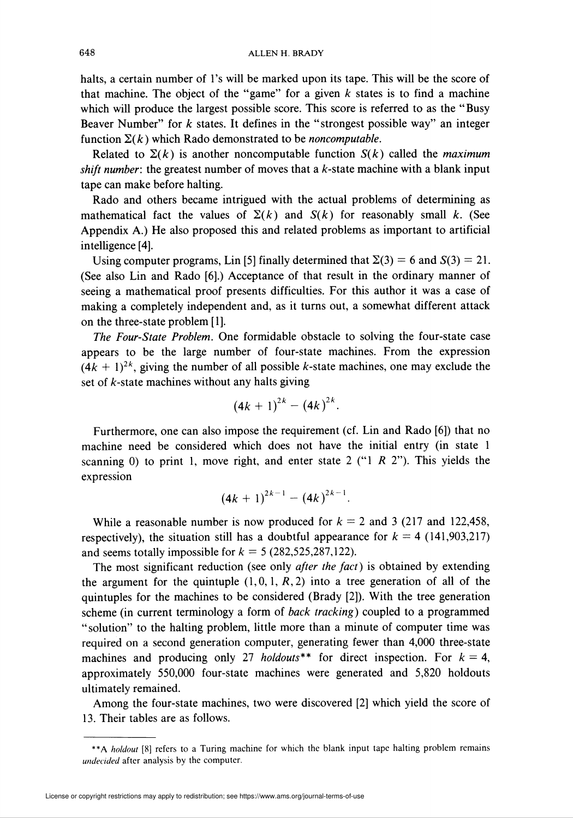halts, a certain number of 1's will be marked upon its tape. This will be the score of that machine. The object of the "game" for a given  $k$  states is to find a machine which will produce the largest possible score. This score is referred to as the "Busy" Beaver Number" for  $k$  states. It defines in the "strongest possible way" an integer function  $\Sigma(k)$  which Rado demonstrated to be *noncomputable*.

Related to  $\Sigma(k)$  is another noncomputable function  $S(k)$  called the *maximum* shift number: the greatest number of moves that a  $k$ -state machine with a blank input tape can make before halting.

Rado and others became intrigued with the actual problems of determining as mathematical fact the values of  $\Sigma(k)$  and  $S(k)$  for reasonably small k. (See Appendix A.) He also proposed this and related problems as important to artificial intelligence [4].

Using computer programs, Lin [5] finally determined that  $\Sigma(3) = 6$  and  $S(3) = 21$ . (See also Lin and Rado [6].) Acceptance of that result in the ordinary manner of seeing a mathematical proof presents difficulties. For this author it was a case of making a completely independent and, as it turns out, a somewhat different attack on the three-state problem [1].

The Four-State Problem. One formidable obstacle to solving the four-state case appears to be the large number of four-state machines. From the expression  $(4k + 1)^{2k}$ , giving the number of all possible k-state machines, one may exclude the set of  $k$ -state machines without any halts giving

$$
(4k+1)^{2k}-(4k)^{2k}.
$$

Furthermore, one can also impose the requirement (cf. Lin and Rado [6]) that no machine need be considered which does not have the initial entry (in state 1 scanning 0) to print 1, move right, and enter state 2 ("1  $R$  2"). This yields the expression

$$
(4k+1)^{2k-1}-(4k)^{2k-1}.
$$

While a reasonable number is now produced for  $k = 2$  and 3 (217 and 122,458, respectively), the situation still has a doubtful appearance for  $k = 4$  (141,903,217) and seems totally impossible for  $k = 5$  (282,525,287,122).

The most significant reduction (see only *after the fact*) is obtained by extending the argument for the quintuple  $(1,0,1, R, 2)$  into a tree generation of all of the quintuples for the machines to be considered (Brady [2]). With the tree generation scheme (in current terminology a form of back tracking) coupled to a programmed " solution" to the halting problem, little more than a minute of computer time was required on a second generation computer, generating fewer than 4,000 three-state machines and producing only 27 *holdouts*<sup>\*\*</sup> for direct inspection. For  $k = 4$ , approximately 550,000 four-state machines were generated and 5,820 holdouts ultimately remained.

Among the four-state machines, two were discovered [2] which yield the score of 13. Their tables are as follows.

<sup>\*\*</sup>A holdout [8] refers to a Turing machine for which the blank input tape halting problem remains undecided after analysis by the computer.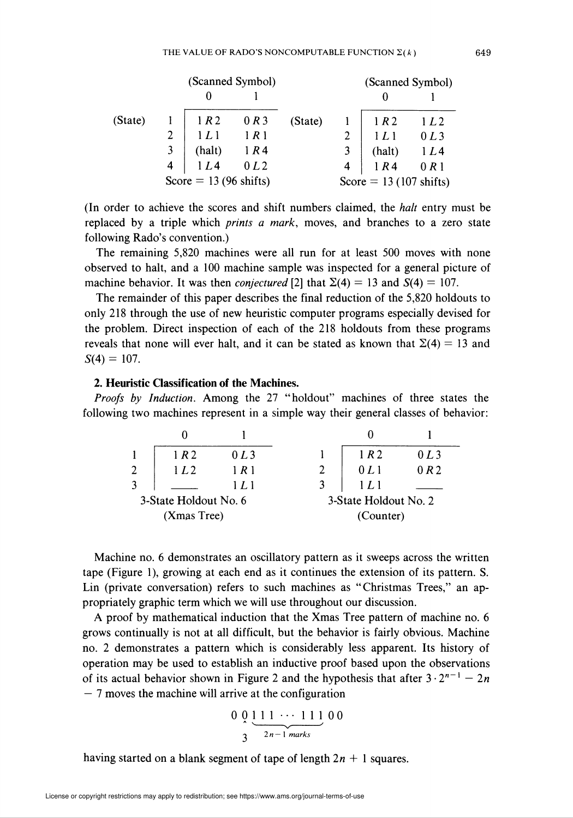|         |                                 |               | (Scanned Symbol) |         |                | (Scanned Symbol)                 |      |  |
|---------|---------------------------------|---------------|------------------|---------|----------------|----------------------------------|------|--|
|         |                                 |               |                  |         |                |                                  |      |  |
| (State) |                                 | 1 R 2         | 0 R3             | (State) |                | 1R2                              | 1L2  |  |
|         |                                 | 1L1           | 1R1              |         |                | 1L1                              | 0L3  |  |
|         |                                 | (halt)<br>1R4 |                  |         |                | (halt)                           | 1L4  |  |
|         | $\overline{4}$                  | 1L4           | 0 <sub>L</sub> 2 |         | $\overline{4}$ | 1R4                              | 0 R1 |  |
|         | Score = $13(96 \text{ shifts})$ |               |                  |         |                | Score = $13(107 \text{ shifts})$ |      |  |

(In order to achieve the scores and shift numbers claimed, the *halt* entry must be replaced by a triple which *prints a mark*, moves, and branches to a zero state following Rado's convention.)

The remaining 5,820 machines were all run for at least 500 moves with none observed to halt, and a 100 machine sample was inspected for a general picture of machine behavior. It was then *conjectured* [2] that  $\Sigma(4) = 13$  and  $S(4) = 107$ .

The remainder of this paper describes the final reduction of the 5,820 holdouts to only 218 through the use of new heuristic computer programs especially devised for the problem. Direct inspection of each of the 218 holdouts from these programs reveals that none will ever halt, and it can be stated as known that  $\Sigma(4) = 13$  and  $S(4) = 107$ .

### 2. Heuristic Classification of the Machines.

Proofs by Induction. Among the 27 "holdout" machines of three states the following two machines represent in a simple way their general classes of behavior:

|                       | 1 R 2            | $0L$ 3 | 1R2                   | 0L3  |
|-----------------------|------------------|--------|-----------------------|------|
| $\overline{2}$        | 1 <sub>L</sub> 2 | 1 R 1  | 0L1                   | 0 R2 |
|                       |                  | 1 L I  |                       |      |
| 3-State Holdout No. 6 |                  |        | 3-State Holdout No. 2 |      |
|                       | (Xmas Tree)      |        | (Counter)             |      |

Machine no. 6 demonstrates an oscillatory pattern as it sweeps across the written tape (Figure 1), growing at each end as it continues the extension of its pattern. S. Lin (private conversation) refers to such machines as "Christmas Trees," an appropriately graphic term which we will use throughout our discussion.

A proof by mathematical induction that the Xmas Tree pattern of machine no. 6 grows continually is not at all difficult, but the behavior is fairly obvious. Machine no. 2 demonstrates a pattern which is considerably less apparent. Its history of operation may be used to establish an inductive proof based upon the observations of its actual behavior shown in Figure 2 and the hypothesis that after  $3 \cdot 2^{n-1} - 2n$  $-7$  moves the machine will arrive at the configuration

$$
\frac{0}{3} \frac{1}{2n-1} \frac{1}{marks} 00
$$

having started on a blank segment of tape of length  $2n + 1$  squares.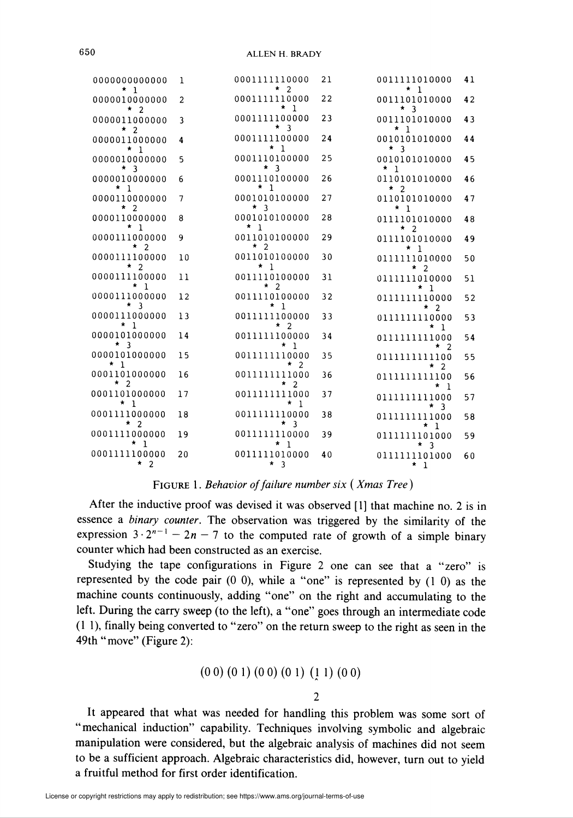| 0000000000000<br>$*1$         | 1              | 0001111110000<br>$*2$                      | 21 | 0011111010000<br>$*1$              | 41 |
|-------------------------------|----------------|--------------------------------------------|----|------------------------------------|----|
| 0000010000000<br>$*2$         | $\overline{2}$ | 0001111110000<br>$*1$                      | 22 | 0011101010000<br>$*3$              | 42 |
| 0000011000000                 | $\overline{3}$ | 0001111100000<br>$*3$                      | 23 | 0011101010000<br>$*1$              | 43 |
| $*2$<br>0000011000000<br>$*1$ | 4              | 0001111100000<br>$*1$                      | 24 | 0010101010000<br>$*3$              | 44 |
| 0000010000000<br>$*$ 3        | 5              | 0001110100000<br>$*$ 3                     | 25 | 0010101010000<br>$*1$              | 45 |
| 0000010000000<br>$\star$ 1    | 6              | 0001110100000<br>* 1                       | 26 | 0110101010000<br>$*2$              | 46 |
| 0000110000000<br>$*$ 2        | $\overline{7}$ | 0001010100000<br>$*$ 3                     | 27 | 0110101010000<br>$\star$ 1         | 47 |
| 0000110000000<br>$\star$ 1    | 8              | 0001010100000<br>$*1$                      | 28 | 0111101010000<br>$*2$              | 48 |
| 0000111000000<br>$*2$         | 9              | 0011010100000<br>$*2$                      | 29 | 0111101010000<br>$*1$              | 49 |
| 0000111100000<br>$*2$         | 10             | 0011010100000<br>$*1$                      | 30 | 0111111010000<br>$*2$              | 50 |
| 0000111100000<br>$^{\star}$ 1 | 11             | 0011110100000<br>$*$ 2                     | 31 | 0111111010000<br>$*1$              | 51 |
| 0000111000000<br>$*3$         | 12             | 0011110100000<br>$*1$                      | 32 | 0111111110000<br>$*2$              | 52 |
| 0000111000000<br>$\star$ 1    | 13             | 0011111100000<br>$*$ 2                     | 33 | 0111111110000<br>$*1$              | 53 |
| 0000101000000<br>$*$ 3        | 14             | 0011111100000<br>* 1                       | 34 | 0111111111000<br>$\star$ 2         | 54 |
| 0000101000000<br>$*1$         | 15             | 0011111110000<br>$\star$<br>$\mathfrak{D}$ | 35 | 0111111111100<br>$\star$<br>2      | 55 |
| 0001101000000<br>$*2$         | 16             | 0011111111000<br>$*2$                      | 36 | 0111111111100<br>*<br>$\mathbf{1}$ | 56 |
| 0001101000000<br>$*1$         | 17             | 00111111111000<br>$x_1$                    | 37 | 0111111111000<br>$*$ 3             | 57 |
| 0001111000000<br>$x^2$        | 18             | 0011111110000<br>$*3$                      | 38 | 01111111111000<br>* 1              | 58 |
| 0001111000000<br>$\star$ 1    | 19             | 00111111110000<br>$*1$                     | 39 | 0111111101000<br>$*$ 3             | 59 |
| 0001111100000<br>$*2$         | 20             | 0011111010000<br>$*3$                      | 40 | 01111111101000<br>$*1$             | 60 |
|                               |                |                                            |    |                                    |    |

FIGURE 1. Behavior of failure number six (Xmas Tree)

After the inductive proof was devised it was observed [1] that machine no. 2 is in essence a binary counter. The observation was triggered by the similarity of the expression  $3 \cdot 2^{n-1} - 2n - 7$  to the computed rate of growth of a simple binary counter which had been constructed as an exercise.

Studying the tape configurations in Figure 2 one can see that a "zero" is represented by the code pair  $(0\ 0)$ , while a "one" is represented by  $(1\ 0)$  as the machine counts continuously, adding "one" on the right and accumulating to the left. During the carry sweep (to the left), a "one" goes through an intermediate code (11), finally being converted to "zero" on the return sweep to the right as seen in the 49th "move" (Figure 2):

$$
(0\ 0)\ (0\ 1)\ (0\ 0)\ (0\ 1)\ (\underline{1}\ 1)\ (0\ 0)
$$

#### $\mathfrak{D}$

It appeared that what was needed for handling this problem was some sort of "mechanical induction" capability. Techniques involving symbolic and algebraic manipulation were considered, but the algebraic analysis of machines did not seem to be a sufficient approach. Algebraic characteristics did, however, turn out to yield a fruitful method for first order identification.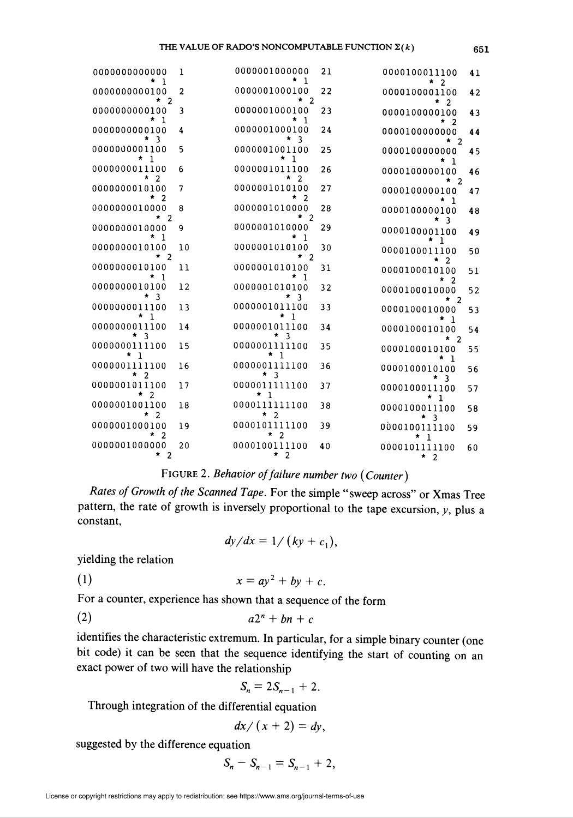| 0000000000000<br>1                        | ı              | 0000001000000<br>* 1            | 21 | 0000100011100<br>$\overline{2}$        | 41 |
|-------------------------------------------|----------------|---------------------------------|----|----------------------------------------|----|
| 0000000000100<br>$\overline{2}$           | 2              | 0000001000100<br>$\star$ 2      | 22 | 0000100001100<br>$\overline{2}$        | 42 |
| 0000000000100<br>*<br>- 1                 | 3              | 0000001000100<br>* 1            | 23 | 0000100000100<br>$*2$                  | 43 |
| 0000000000100<br>$*$ 3                    | 4              | 0000001000100<br>$*_{3}$        | 24 | 0000100000000<br>* 2                   | 44 |
| 0000000001100<br>$*1$                     | 5              | 0000001001100<br>* 1            | 25 | 0000100000000                          | 45 |
| 0000000011100<br>$\overline{2}$<br>*      | 6              | 0000001011100<br>2              | 26 | - 1<br>0000100000100                   | 46 |
| 0000000010100<br>2                        | $\overline{7}$ | 0000001010100<br>$\overline{2}$ | 27 | $*2$<br>0000100000100                  | 47 |
| 0000000010000<br>$\overline{2}$<br>*.     | 8              | 0000001010000<br>$*$ 2          | 28 | *<br>- 1<br>0000100000100              | 48 |
| 0000000010000<br>-1                       | 9              | 0000001010000<br>* 1            | 29 | 3<br>0000100001100                     | 49 |
| 0000000010100<br>$\overline{\phantom{a}}$ | 10             | 0000001010100<br>$*2$           | 30 | -1<br>0000100011100                    | 50 |
| 0000000010100<br>$*1$                     | 11             | 0000001010100<br>* 1            | 31 | 2<br>0000100010100                     | 51 |
| 0000000010100<br>$*$ 3                    | 12             | 0000001010100<br>*<br>- 3       | 32 | $\overline{2}$<br>*<br>0000100010000   | 52 |
| 0000000011100<br>$*1$                     | 13             | 0000001011100<br>$^{\star}$ 1   | 33 | * 2<br>0000100010000                   | 53 |
| 0000000011100<br>$*$ 3                    | 14             | 0000001011100<br>$*$ 3          | 34 | * 1<br>0000100010100                   | 54 |
| 0000000111100<br>* 1                      | 15             | 0000001111100<br>$*$ 1          | 35 | $*_{2}$<br>0000100010100               | 55 |
| 0000001111100<br>$*2$                     | 16             | 0000001111100<br>$* \quad 3$    | 36 | * 1<br>0000100010100                   | 56 |
| 0000001011100<br>$*2$                     | 17             | 0000011111100<br>* 1            | 37 | - 3<br>0000100011100                   | 57 |
| 0000001001100<br>2                        | 18             | 0000111111100<br>$*$ 2          | 38 | $*1$<br>0000100011100                  | 58 |
| 0000001000100<br>$\overline{2}$           | 19             | 0000101111100<br>$*2$           | 39 | $*$ 3<br>0000100111100                 | 59 |
| 0000001000000<br>$*2$                     | 20             | 0000100111100<br>$*2$           | 40 | * 1<br>0000101111100<br>$\star$ $\sim$ | 60 |

# FIGURE 2. Behavior of failure number two (Counter)

Rates of Growth of the Scanned Tape. For the simple "sweep across" or Xmas Tree pattern, the rate of growth is inversely proportional to the tape excursion,  $y$ , plus a constant,

$$
dy/dx = 1/(ky + c_1),
$$

yielding the relation

$$
(1) \t x = ay^2 + by + c.
$$

For a counter, experience has shown that a sequence of the form

$$
(2) \hspace{3.1em} a2^n + bn + c
$$

identifies the characteristic extremum. In particular, for a simple binary counter (one bit code) it can be seen that the sequence identifying the start of counting on an exact power of two will have the relationship

$$
S_n=2S_{n-1}+2.
$$

Through integration of the differential equation

$$
dx/(x+2)=dy,
$$

suggested by the difference equation

 $S_n - S_{n-1} = S_{n-1} + 2$ ,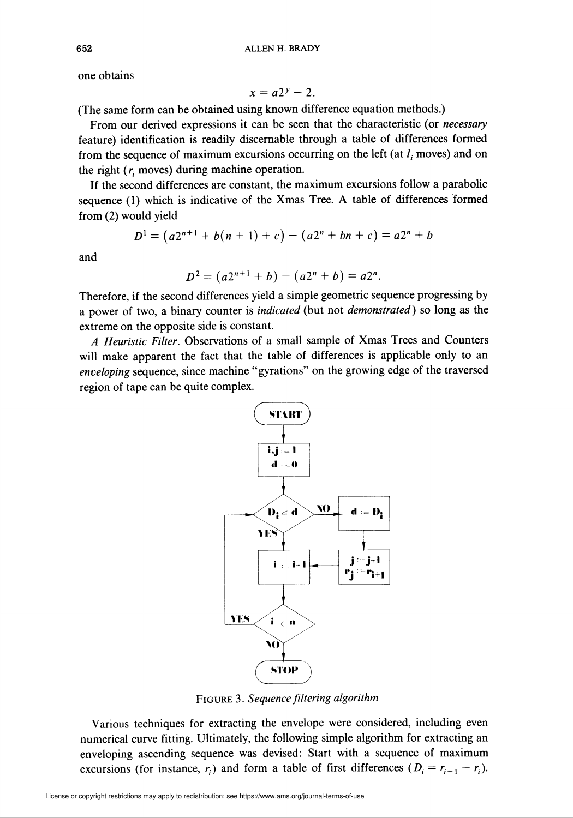one obtains

$$
x=a2^y-2.
$$

(The same form can be obtained using known difference equation methods.)

From our derived expressions it can be seen that the characteristic (or *necessary* feature) identification is readily discernable through a table of differences formed from the sequence of maximum excursions occurring on the left (at  $l_i$  moves) and on the right  $(r<sub>i</sub>$  moves) during machine operation.

If the second differences are constant, the maximum excursions follow a parabolic sequence (1) which is indicative of the Xmas Tree. A table of differences formed from (2) would yield

$$
D1 = (a2n+1 + b(n + 1) + c) - (a2n + bn + c) = a2n + b
$$

and

$$
D^2 = (a2^{n+1} + b) - (a2^n + b) = a2^n.
$$

Therefore, if the second differences yield a simple geometric sequence progressing by a power of two, a binary counter is indicated (but not demonstrated) so long as the extreme on the opposite side is constant.

A Heuristic Filter. Observations of a small sample of Xmas Trees and Counters will make apparent the fact that the table of differences is applicable only to an enveloping sequence, since machine "gyrations" on the growing edge of the traversed region of tape can be quite complex.



Figure 3. Sequence filtering algorithm

Various techniques for extracting the envelope were considered, including even numerical curve fitting. Ultimately, the following simple algorithm for extracting an enveloping ascending sequence was devised: Start with a sequence of maximum excursions (for instance,  $r_i$ ) and form a table of first differences  $(D_i = r_{i+1} - r_i)$ .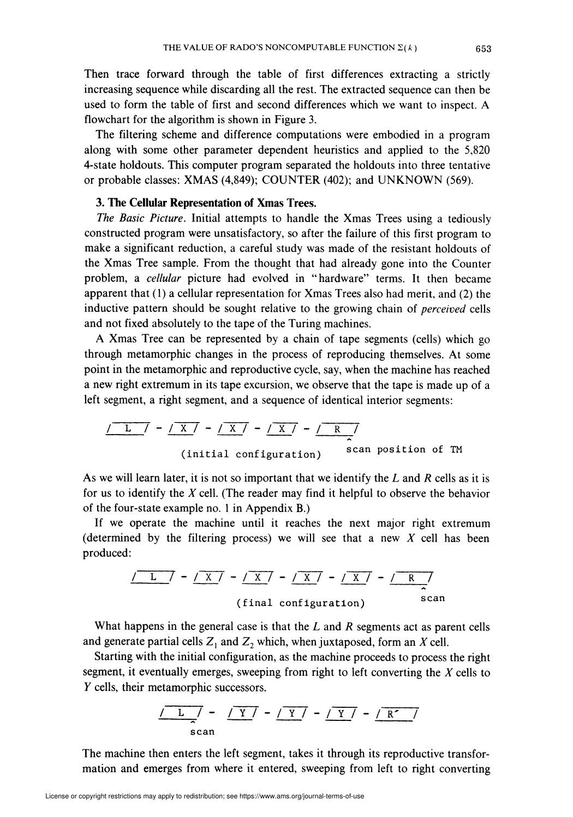Then trace forward through the table of first differences extracting a strictly increasing sequence while discarding all the rest. The extracted sequence can then be used to form the table of first and second differences which we want to inspect. A flowchart for the algorithm is shown in Figure 3.

The filtering scheme and difference computations were embodied in a program along with some other parameter dependent heuristics and applied to the 5,820 4-state holdouts. This computer program separated the holdouts into three tentative or probable classes: XMAS (4,849); COUNTER (402); and UNKNOWN (569).

### 3. The Cellular Representation of Xmas Trees.

The Basic Picture. Initial attempts to handle the Xmas Trees using a tediously constructed program were unsatisfactory, so after the failure of this first program to make a significant reduction, a careful study was made of the resistant holdouts of the Xmas Tree sample. From the thought that had already gone into the Counter problem, a cellular picture had evolved in "hardware" terms. It then became apparent that (1) a cellular representation for Xmas Trees also had merit, and (2) the inductive pattern should be sought relative to the growing chain of *perceived* cells and not fixed absolutely to the tape of the Turing machines.

A Xmas Tree can be represented by a chain of tape segments (cells) which go through metamorphic changes in the process of reproducing themselves. At some point in the metamorphic and reproductive cycle, say, when the machine has reached a new right extremum in its tape excursion, we observe that the tape is made up of a left segment, a right segment, and a sequence of identical interior segments:

$$
\frac{1}{\sqrt{L}} - \frac{\sqrt{X}}{\sqrt{X}} - \frac{\sqrt{X}}{\sqrt{X}} - \frac{\sqrt{R}}{2}
$$
  
(initial configuration) scan position of TM

As we will learn later, it is not so important that we identify the  $L$  and  $R$  cells as it is for us to identify the  $X$  cell. (The reader may find it helpful to observe the behavior of the four-state example no. 1 in Appendix B.)

If we operate the machine until it reaches the next major right extremum (determined by the filtering process) we will see that a new  $X$  cell has been produced:

$$
\frac{1}{\sqrt{L}} - \frac{\sqrt{X}}{\sqrt{Y}} - \frac{\sqrt{X}}{\sqrt{X}} - \frac{\sqrt{X}}{\sqrt{X}} - \frac{\sqrt{R}}{\sqrt{X}}
$$
\n(final configuration)

What happens in the general case is that the  $L$  and  $R$  segments act as parent cells and generate partial cells  $Z_1$  and  $Z_2$  which, when juxtaposed, form an X cell.

Starting with the initial configuration, as the machine proceeds to process the right segment, it eventually emerges, sweeping from right to left converting the  $X$  cells to Y cells, their metamorphic successors.

$$
\frac{\sqrt{L}}{s} \frac{1}{s} - \frac{\sqrt{Y}}{Y} - \frac{\sqrt{Y}}{Y} - \frac{\sqrt{Y}}{Y} - \frac{\sqrt{R'}}{R'}
$$

The machine then enters the left segment, takes it through its reproductive transformation and emerges from where it entered, sweeping from left to right converting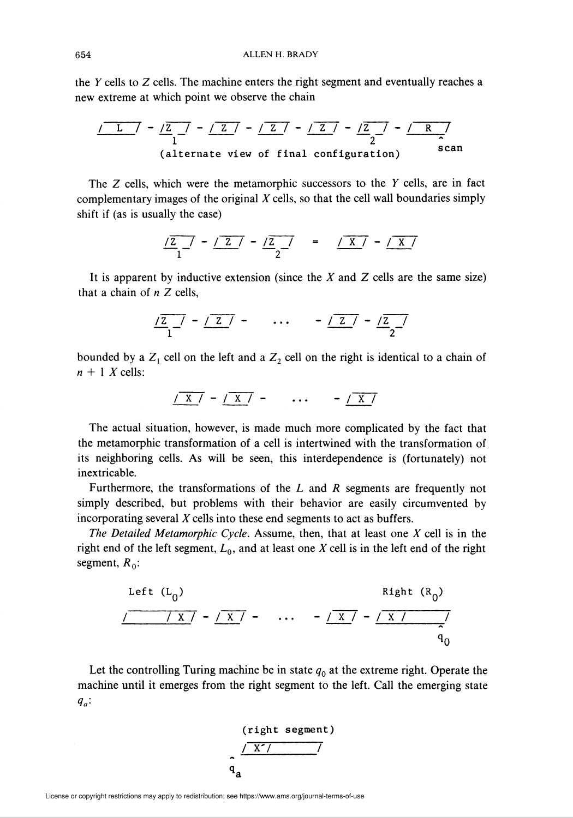the Y cells to Z cells. The machine enters the right segment and eventually reaches a new extreme at which point we observe the chain

$$
\frac{1}{1} - \frac{1}{2} - \frac{1}{2} - \frac{1}{2} - \frac{1}{2} - \frac{1}{2} - \frac{1}{2} - \frac{1}{2}
$$
\n(alternate view of final configuration) scan

The Z cells, which were the metamorphic successors to the Y cells, are in fact complementary images of the original  $X$  cells, so that the cell wall boundaries simply shift if (as is usually the case)

$$
\frac{7z}{1} - \frac{7z}{2} - \frac{7z}{2} = \frac{7x}{1} - \frac{7x}{2}
$$

It is apparent by inductive extension (since the  $X$  and  $Z$  cells are the same size) that a chain of  $n \, Z$  cells,

$$
\frac{1}{2} \frac{1}{1} - \frac{1}{2} \frac{1}{1} - \dots - \frac{1}{2} \frac{1}{2} - \frac{1}{2} \frac{1}{2}
$$

bounded by a  $Z_1$  cell on the left and a  $Z_2$  cell on the right is identical to a chain of  $n + 1$  X cells:

$$
\sqrt{X} = \sqrt{X} = \cdots = \sqrt{X}
$$

The actual situation, however, is made much more complicated by the fact that the metamorphic transformation of a cell is intertwined with the transformation of its neighboring cells. As will be seen, this interdependence is (fortunately) not inextricable.

Furthermore, the transformations of the  $L$  and  $R$  segments are frequently not simply described, but problems with their behavior are easily circumvented by incorporating several X cells into these end segments to act as buffers.

The Detailed Metamorphic Cycle. Assume, then, that at least one  $X$  cell is in the right end of the left segment,  $L_0$ , and at least one X cell is in the left end of the right segment,  $R_0$ :

Left (L<sub>0</sub>)  
\n
$$
\sqrt{\frac{1 \times 1 - 1 \times 1 - \dots - 1 \times 1 - 1}{q_0}}
$$

Let the controlling Turing machine be in state  $q_0$  at the extreme right. Operate the machine until it emerges from the right segment to the left. Call the emerging state  $q_a$ :

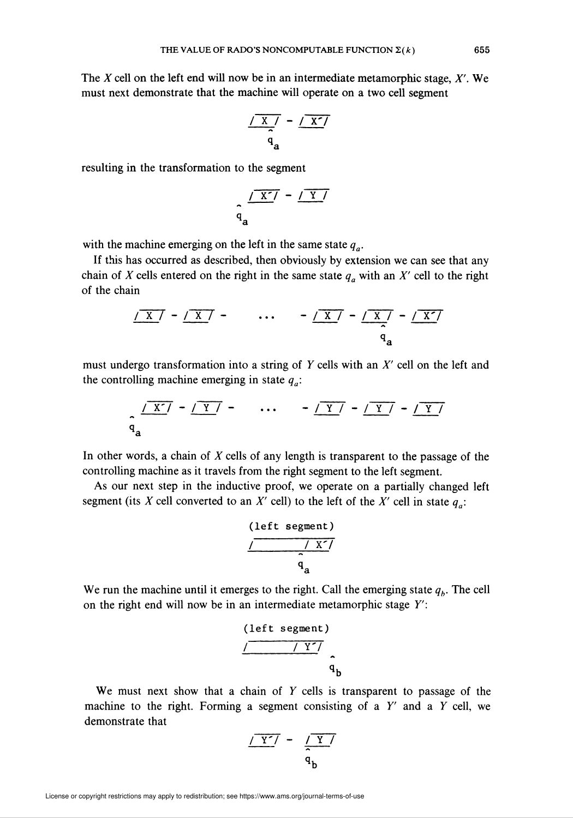The X cell on the left end will now be in an intermediate metamorphic stage,  $X'$ . We must next demonstrate that the machine will operate on a two cell segment

$$
\frac{1 + \frac{1}{x}}{q_a} - \frac{1 - \frac{1}{x}}{q_a}
$$

resulting in the transformation to the segment

$$
\frac{\sqrt{X'} - \sqrt{Y}}{q_a}
$$

with the machine emerging on the left in the same state  $q_a$ .

If this has occurred as described, then obviously by extension we can see that any chain of X cells entered on the right in the same state  $q_a$  with an X' cell to the right of the chain

$$
\frac{1 \times 7 - 1 \times 7}{q_a} - \dots - \frac{1 \times 7 - 1 \times 7}{q_a}
$$

must undergo transformation into a string of Y cells with an  $X'$  cell on the left and the controlling machine emerging in state  $q_a$ :

$$
\frac{\sqrt{X'} - \sqrt{Y}}{q_a} \qquad \cdots \qquad - \sqrt{Y} - \sqrt{Y} - \sqrt{Y}
$$

In other words, a chain of  $X$  cells of any length is transparent to the passage of the controlling machine as it travels from the right segment to the left segment.

As our next step in the inductive proof, we operate on a partially changed left segment (its X cell converted to an X' cell) to the left of the X' cell in state  $q_a$ :

$$
\overbrace{\qquad \qquad }^{\text{(left segment)}}_{\qquad \qquad \qquad }a}
$$

We run the machine until it emerges to the right. Call the emerging state  $q<sub>b</sub>$ . The cell on the right end will now be in an intermediate metamorphic stage Y':

$$
\overbrace{\qquad \qquad }^{\text{(left segment)}}_{\text{q}} \qquad \qquad }^{\text{(right}}
$$

We must next show that a chain of  $Y$  cells is transparent to passage of the machine to the right. Forming a segment consisting of a  $Y'$  and a  $Y$  cell, we demonstrate that

$$
\frac{\sqrt{Y'}}{\sqrt{Y'}} - \frac{\sqrt{Y'}}{q_b}
$$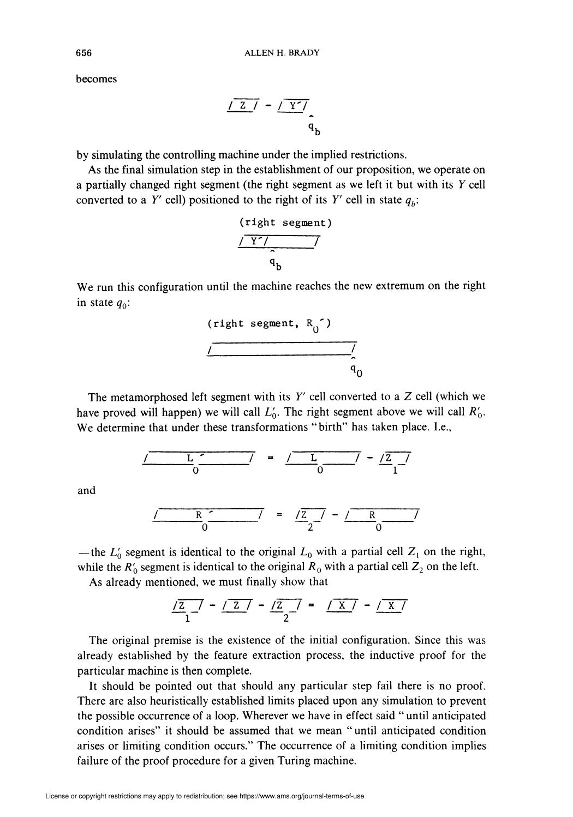becomes

$$
\frac{1 \times 1 - 1}{q_b}
$$

by simulating the controlling machine under the implied restrictions.

As the final simulation step in the establishment of our proposition, we operate on a partially changed right segment (the right segment as we left it but with its Y cell converted to a Y' cell) positioned to the right of its Y' cell in state  $q<sub>b</sub>$ :

$$
\frac{\sqrt{r}\sqrt{r^2-r^2}}{q}
$$

We run this configuration until the machine reaches the new extremum on the right in state  $q_0$ :

$$
\overbrace{\qquad \qquad }^{\text{(right segment, R_0^{'})}}
$$

The metamorphosed left segment with its  $Y'$  cell converted to a  $Z$  cell (which we have proved will happen) we will call  $L'_0$ . The right segment above we will call  $R'_0$ . We determine that under these transformations "birth" has taken place. I.e.,

$$
\frac{L}{0} = \frac{L}{0} = \frac{L}{0} = \frac{Z}{1}
$$

and

$$
\frac{R}{0} = \frac{Z}{2} - \frac{R}{0}
$$

— the  $L'_0$  segment is identical to the original  $L_0$  with a partial cell  $Z_1$  on the right,

while the  $R'_0$  segment is identical to the original  $R_0$  with a partial cell  $Z_2$  on the left.

As already mentioned, we must finally show that

$$
\frac{7z}{1} - \frac{7z}{2} - \frac{7z}{2} = \frac{7x}{2} - \frac{7z}{2}
$$

The original premise is the existence of the initial configuration. Since this was already established by the feature extraction process, the inductive proof for the particular machine is then complete.

It should be pointed out that should any particular step fail there is no proof. There are also heuristically established limits placed upon any simulation to prevent the possible occurrence of a loop. Wherever we have in effect said " until anticipated condition arises" it should be assumed that we mean "until anticipated condition arises or limiting condition occurs." The occurrence of a limiting condition implies failure of the proof procedure for a given Turing machine.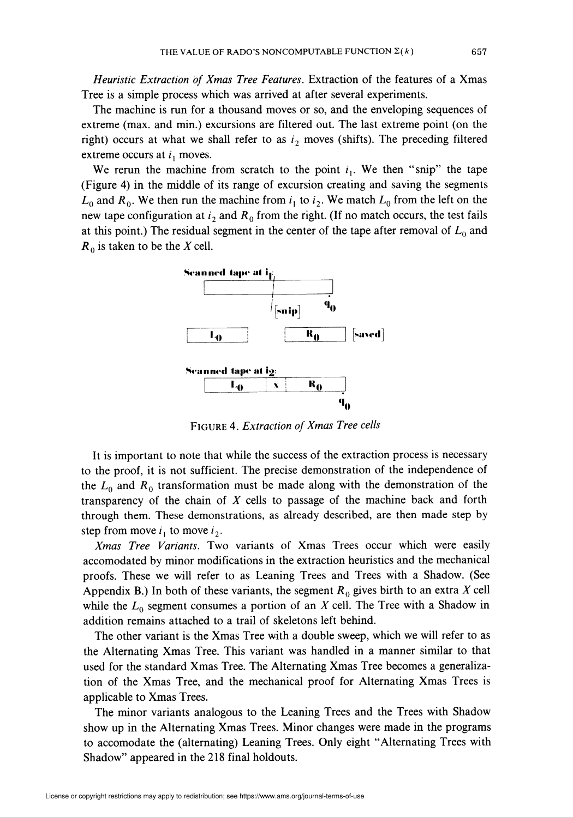Heuristic Extraction of Xmas Tree Features. Extraction of the features of a Xmas Tree is a simple process which was arrived at after several experiments.

The machine is run for a thousand moves or so, and the enveloping sequences of extreme (max. and min.) excursions are filtered out. The last extreme point (on the right) occurs at what we shall refer to as  $i_2$  moves (shifts). The preceding filtered extreme occurs at  $i_1$  moves.

We rerun the machine from scratch to the point  $i_1$ . We then "snip" the tape (Figure 4) in the middle of its range of excursion creating and saving the segments  $L_0$  and  $R_0$ . We then run the machine from  $i_1$  to  $i_2$ . We match  $L_0$  from the left on the new tape configuration at  $i_2$  and  $R_0$  from the right. (If no match occurs, the test fails at this point.) The residual segment in the center of the tape after removal of  $L_0$  and  $R_0$  is taken to be the X cell.



Figure 4. Extraction of Xmas Tree cells

It is important to note that while the success of the extraction process is necessary to the proof, it is not sufficient. The precise demonstration of the independence of the  $L_0$  and  $R_0$  transformation must be made along with the demonstration of the transparency of the chain of  $X$  cells to passage of the machine back and forth through them. These demonstrations, as already described, are then made step by step from move  $i_1$  to move  $i_2$ .

Xmas Tree Variants. Two variants of Xmas Trees occur which were easily accomodated by minor modifications in the extraction heuristics and the mechanical proofs. These we will refer to as Leaning Trees and Trees with a Shadow. (See Appendix B.) In both of these variants, the segment  $R_0$  gives birth to an extra X cell while the  $L_0$  segment consumes a portion of an X cell. The Tree with a Shadow in addition remains attached to a trail of skeletons left behind.

The other variant is the Xmas Tree with a double sweep, which we will refer to as the Alternating Xmas Tree. This variant was handled in a manner similar to that used for the standard Xmas Tree. The Alternating Xmas Tree becomes a generalization of the Xmas Tree, and the mechanical proof for Alternating Xmas Trees is applicable to Xmas Trees.

The minor variants analogous to the Leaning Trees and the Trees with Shadow show up in the Alternating Xmas Trees. Minor changes were made in the programs to accomodate the (alternating) Leaning Trees. Only eight "Alternating Trees with Shadow" appeared in the 218 final holdouts.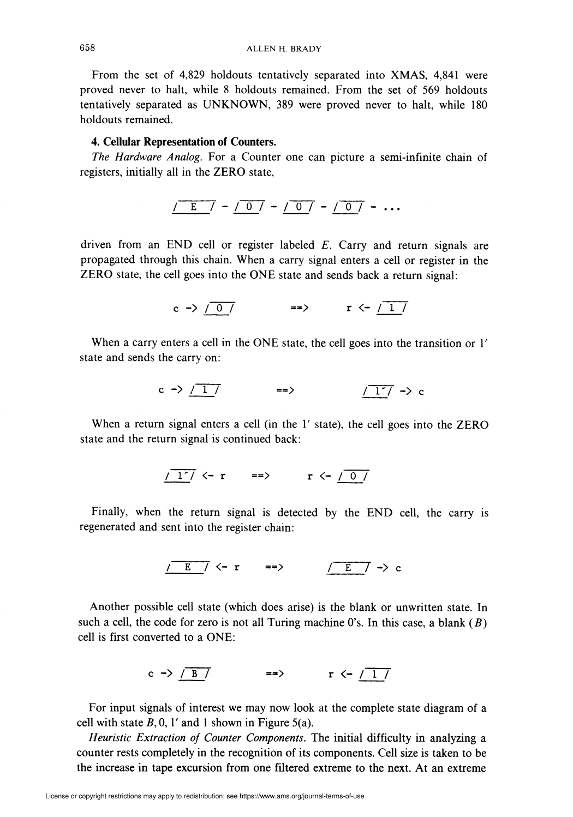From the set of 4,829 holdouts tentatively separated into XMAS, 4,841 were proved never to halt, while 8 holdouts remained. From the set of 569 holdouts tentatively separated as UNKNOWN, 389 were proved never to halt, while 180 holdouts remained.

### 4. Cellular Representation of Counters.

The Hardware Analog. For a Counter one can picture a semi-infinite chain of registers, initially all in the ZERO state,

$$
\frac{\sqrt{E}}{\sqrt{2}} = \frac{\sqrt{0}}{\sqrt{2}} = \frac{\sqrt{0}}{\sqrt{2}} = \frac{\sqrt{0}}{\sqrt{2}} = \cdots
$$

driven from an END cell or register labeled  $E$ . Carry and return signals are propagated through this chain. When a carry signal enters a cell or register in the ZERO state, the cell goes into the ONE state and sends back a return signal:

$$
c \rightarrow / \overline{0} / \qquad \qquad \Longrightarrow \qquad r \leftarrow / \overline{1} / \overline{1} \right)
$$

When a carry enters a cell in the ONE state, the cell goes into the transition or 1' state and sends the carry on:

$$
c \rightarrow \boxed{17} \qquad \qquad == \qquad \qquad \boxed{17} \rightarrow c
$$

When a return signal enters a cell (in the 1' state), the cell goes into the ZERO state and the return signal is continued back:

$$
\frac{1}{1} < -r \quad \implies \quad r < -\frac{0}{0}
$$

Finally, when the return signal is detected by the END cell, the carry is regenerated and sent into the register chain:

$$
\frac{\sqrt{E}}{\sqrt{E}} \sim r \qquad \Rightarrow \qquad \frac{\sqrt{E}}{\sqrt{E}} \sim \infty
$$

Another possible cell state (which does arise) is the blank or unwritten state. In such a cell, the code for zero is not all Turing machine 0's. In this case, a blank  $(B)$ cell is first converted to a ONE:

$$
c \rightarrow \frac{B}{}
$$
 =  $\rightarrow$   $r \leftarrow \frac{1}{1}$ 

For input signals of interest we may now look at the complete state diagram of a cell with state  $B$ , 0, 1' and 1 shown in Figure 5(a).

Heuristic Extraction of Counter Components. The initial difficulty in analyzing a counter rests completely in the recognition of its components. Cell size is taken to be the increase in tape excursion from one filtered extreme to the next. At an extreme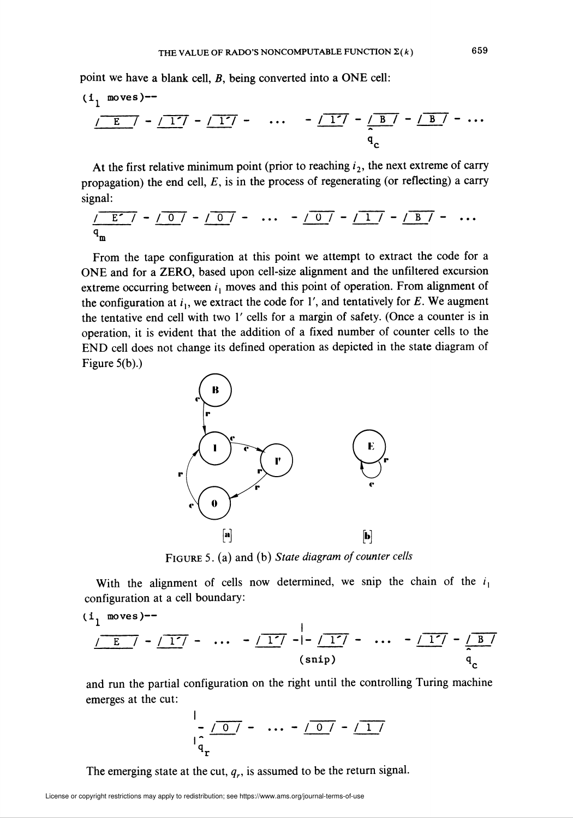point we have a blank cell, B, being converted into a ONE cell:

$$
\frac{(1 \text{ moves})^{2}}{\sqrt{E}} - \frac{17}{17} - \frac{17}{17} - \dots - \frac{17}{9} - \frac{B}{9} - \frac{B}{9} - \dots
$$

At the first relative minimum point (prior to reaching  $i_2$ , the next extreme of carry propagation) the end cell,  $E$ , is in the process of regenerating (or reflecting) a carry signal:

/ z' i - i o / - /~o~7 - ••• - m - m - /T7 - ... m

From the tape configuration at this point we attempt to extract the code for a ONE and for a ZERO, based upon cell-size alignment and the unfiltered excursion extreme occurring between  $i_1$  moves and this point of operation. From alignment of the configuration at  $i_1$ , we extract the code for 1', and tentatively for E. We augment the tentative end cell with two 1' cells for a margin of safety. (Once a counter is in operation, it is evident that the addition of a fixed number of counter cells to the END cell does not change its defined operation as depicted in the state diagram of Figure 5(b).)



FIGURE 5. (a) and (b) State diagram of counter cells

With the alignment of cells now determined, we snip the chain of the  $i_1$ configuration at a cell boundary:

$$
\frac{1}{\sqrt{E}} \left[ -\frac{1}{1} \right] - \dots - \frac{1}{1} \left[ -\frac{1}{1} \right] - \dots - \frac{1}{1} \left[ -\frac{1}{1} \right] - \dots - \frac{1}{q_c}
$$

and run the partial configuration on the right until the controlling Turing machine emerges at the cut:

$$
\frac{1}{a_{\mathbf{r}}} = \frac{1}{a_{\mathbf{r}}} = \frac{1}{a_{\mathbf{r}}} = \frac{1}{a_{\mathbf{r}}} = \frac{1}{a_{\mathbf{r}}} = \frac{1}{a_{\mathbf{r}}} = \frac{1}{a_{\mathbf{r}}} = \frac{1}{a_{\mathbf{r}}} = \frac{1}{a_{\mathbf{r}}} = \frac{1}{a_{\mathbf{r}}} = \frac{1}{a_{\mathbf{r}}} = \frac{1}{a_{\mathbf{r}}} = \frac{1}{a_{\mathbf{r}}} = \frac{1}{a_{\mathbf{r}}} = \frac{1}{a_{\mathbf{r}}} = \frac{1}{a_{\mathbf{r}}} = \frac{1}{a_{\mathbf{r}}} = \frac{1}{a_{\mathbf{r}}} = \frac{1}{a_{\mathbf{r}}} = \frac{1}{a_{\mathbf{r}}} = \frac{1}{a_{\mathbf{r}}} = \frac{1}{a_{\mathbf{r}}} = \frac{1}{a_{\mathbf{r}}} = \frac{1}{a_{\mathbf{r}}} = \frac{1}{a_{\mathbf{r}}} = \frac{1}{a_{\mathbf{r}}} = \frac{1}{a_{\mathbf{r}}} = \frac{1}{a_{\mathbf{r}}} = \frac{1}{a_{\mathbf{r}}} = \frac{1}{a_{\mathbf{r}}} = \frac{1}{a_{\mathbf{r}}} = \frac{1}{a_{\mathbf{r}}} = \frac{1}{a_{\mathbf{r}}} = \frac{1}{a_{\mathbf{r}}} = \frac{1}{a_{\mathbf{r}}} = \frac{1}{a_{\mathbf{r}}} = \frac{1}{a_{\mathbf{r}}} = \frac{1}{a_{\mathbf{r}}} = \frac{1}{a_{\mathbf{r}}} = \frac{1}{a_{\mathbf{r}}} = \frac{1}{a_{\mathbf{r}}} = \frac{1}{a_{\mathbf{r}}} = \frac{1}{a_{\mathbf{r}}} = \frac{1}{a_{\mathbf{r}}} = \frac{1}{a_{\mathbf{r}}} = \frac{1}{a_{\mathbf{r}}} = \frac{1}{a_{\mathbf{r}}} = \frac{1}{a_{\mathbf{r}}} = \frac{1}{a_{\mathbf{r}}} = \frac{1}{a_{\mathbf{r}}} = \frac{1}{a_{\mathbf{r}}} = \frac{1}{a_{\mathbf{r}}} = \frac{1}{a_{\mathbf{r}}} = \frac{1}{a_{\mathbf{r}}} = \frac{1
$$

The emerging state at the cut,  $q_r$ , is assumed to be the return signal.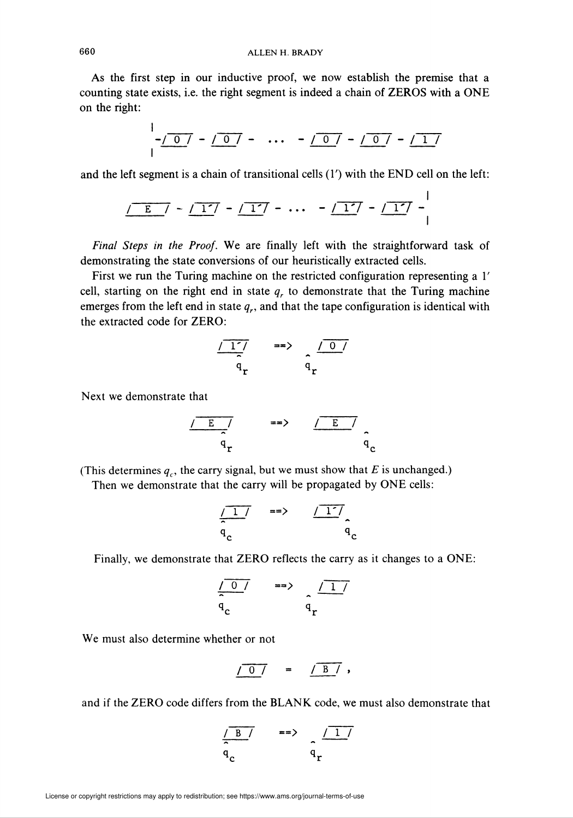As the first step in our inductive proof, we now establish the premise that a counting state exists, i.e. the right segment is indeed a chain of ZEROS with a ONE on the right:

$$
\frac{1}{1} - \frac{1}{1} - \frac{1}{1} - \frac{1}{1} - \frac{1}{1} - \cdots = \frac{1}{1} - \frac{1}{1} - \frac{1}{1} - \frac{1}{1} - \frac{1}{1} - \frac{1}{1} - \frac{1}{1} - \frac{1}{1} - \frac{1}{1} - \frac{1}{1} - \frac{1}{1} - \frac{1}{1} - \frac{1}{1} - \frac{1}{1} - \frac{1}{1} - \frac{1}{1} - \frac{1}{1} - \frac{1}{1} - \frac{1}{1} - \frac{1}{1} - \frac{1}{1} - \frac{1}{1} - \frac{1}{1} - \frac{1}{1} - \frac{1}{1} - \frac{1}{1} - \frac{1}{1} - \frac{1}{1} - \frac{1}{1} - \frac{1}{1} - \frac{1}{1} - \frac{1}{1} - \frac{1}{1} - \frac{1}{1} - \frac{1}{1} - \frac{1}{1} - \frac{1}{1} - \frac{1}{1} - \frac{1}{1} - \frac{1}{1} - \frac{1}{1} - \frac{1}{1} - \frac{1}{1} - \frac{1}{1} - \frac{1}{1} - \frac{1}{1} - \frac{1}{1} - \frac{1}{1} - \frac{1}{1} - \frac{1}{1} - \frac{1}{1} - \frac{1}{1} - \frac{1}{1} - \frac{1}{1} - \frac{1}{1} - \frac{1}{1} - \frac{1}{1} - \frac{1}{1} - \frac{1}{1} - \frac{1}{1} - \frac{1}{1} - \frac{1}{1} - \frac{1}{1} - \frac{1}{1} - \frac{1}{1} - \frac{1}{1} - \frac{1}{1} - \frac{1}{1} - \frac{1}{1} - \frac{1}{1} - \frac{1}{1} - \frac{1}{1} - \frac{1}{1} - \frac{1}{1} - \frac{1}{1} - \frac{1}{1} - \frac{1}{1} - \frac{1}{1} - \frac{1}{1} - \frac{1}{1} - \frac{1}{1} - \frac{1}{1} - \frac{1}{1} - \frac{1}{1} - \frac{1}{1} - \frac{1}{1} - \frac{1}{1} - \frac{1}{1} - \frac{1}{1} - \frac{1
$$

and the left segment is a chain of transitional cells  $(1')$  with the END cell on the left:

$$
\sqrt{E} = \sqrt{-1^2} - \sqrt{-1^2} - \cdots - \sqrt{-1^2} - \sqrt{-1^2} - \sqrt{-1^2} - \sqrt{-1^2} - \sqrt{-1^2} - \cdots
$$

Final Steps in the Proof. We are finally left with the straightforward task of demonstrating the state conversions of our heuristically extracted cells.

First we run the Turing machine on the restricted configuration representing a 1' cell, starting on the right end in state  $q<sub>r</sub>$  to demonstrate that the Turing machine emerges from the left end in state  $q_r$ , and that the tape configuration is identical with the extracted code for ZERO:

$$
\frac{\sqrt{17}}{q_r} \qquad \Rightarrow \qquad \frac{\sqrt{07}}{q_r}
$$

Next we demonstrate that

$$
\frac{\sqrt{E}}{q_r} \qquad \qquad \Rightarrow \qquad \frac{\sqrt{E}}{q_c}
$$

(This determines  $q_c$ , the carry signal, but we must show that E is unchanged.)

Then we demonstrate that the carry will be propagated by ONE cells:

$$
\frac{\sqrt{17}}{q_c} \quad \Rightarrow \quad \frac{\sqrt{17}}{q_c}
$$

Finally, we demonstrate that ZERO reflects the carry as it changes to a ONE:

$$
\frac{\sqrt{0}}{q_c} \qquad \qquad \Rightarrow \qquad \frac{\sqrt{1}}{q_r}
$$

We must also determine whether or not

$$
\sqrt{0} \quad = \quad \sqrt{B} \quad ,
$$

and if the ZERO code differs from the BLANK code, we must also demonstrate that

$$
\frac{\sqrt{B}}{q_c} \qquad \qquad \Rightarrow \qquad \frac{\sqrt{17}}{q_r}
$$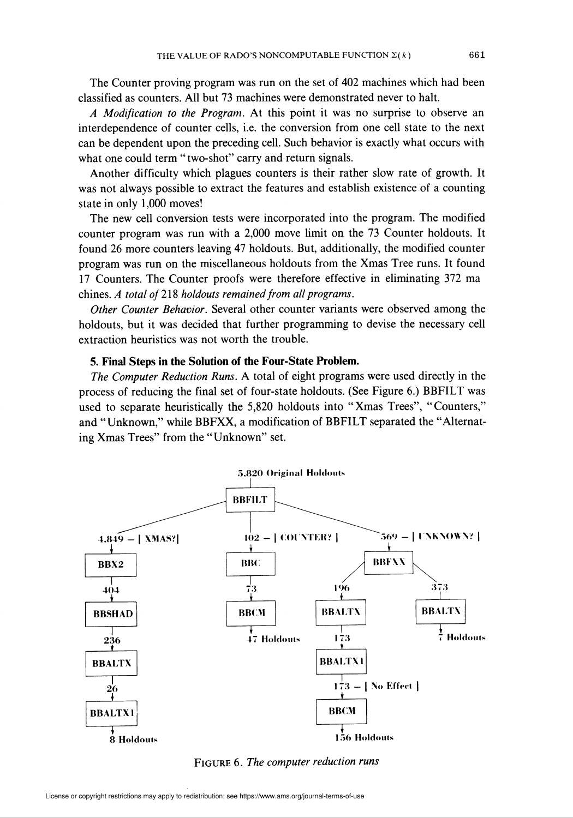The Counter proving program was run on the set of 402 machines which had been classified as counters. All but 73 machines were demonstrated never to halt.

A Modification to the Program. At this point it was no surprise to observe an interdependence of counter cells, i.e. the conversion from one cell state to the next can be dependent upon the preceding cell. Such behavior is exactly what occurs with what one could term "two-shot" carry and return signals.

Another difficulty which plagues counters is their rather slow rate of growth. It was not always possible to extract the features and establish existence of a counting state in only 1,000 moves!

The new cell conversion tests were incorporated into the program. The modified counter program was run with a 2,000 move limit on the 73 Counter holdouts. It found 26 more counters leaving 47 holdouts. But, additionally, the modified counter program was run on the miscellaneous holdouts from the Xmas Tree runs. It found 17 Counters. The Counter proofs were therefore effective in eliminating 372 ma chines. A total of 218 holdouts remained from all programs.

Other Counter Behavior. Several other counter variants were observed among the holdouts, but it was decided that further programming to devise the necessary cell extraction heuristics was not worth the trouble.

### 5. Final Steps in the Solution of the Four-State Problem.

The Computer Reduction Runs. A total of eight programs were used directly in the process of reducing the final set of four-state holdouts. (See Figure 6.) BBFILT was used to separate heuristically the 5,820 holdouts into "Xmas Trees", "Counters," and "Unknown," while BBFXX, a modification of BBFILT separated the "Alternating Xmas Trees" from the "Unknown" set.



FIGURE 6. The computer reduction runs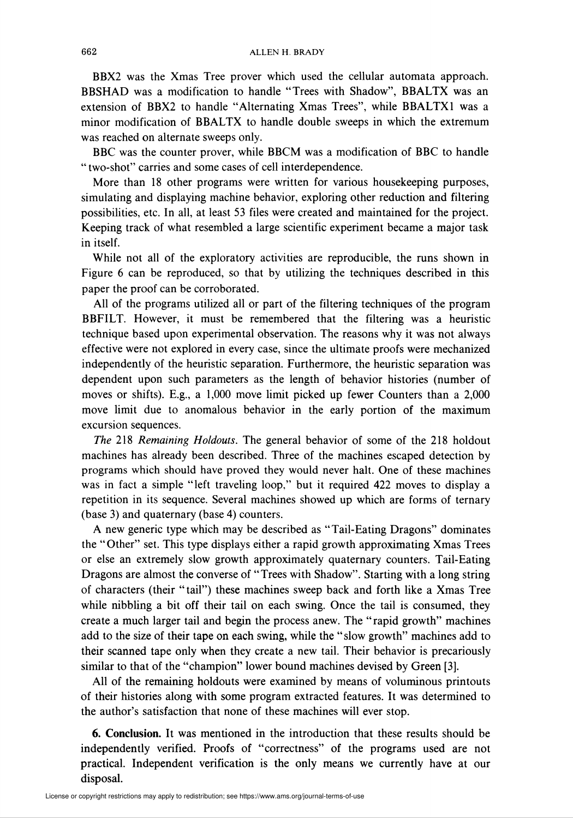BBX2 was the Xmas Tree prover which used the cellular automata approach. BBSHAD was a modification to handle "Trees with Shadow", BBALTX was an extension of BBX2 to handle "Alternating Xmas Trees", while BBALTX1 was a minor modification of BBALTX to handle double sweeps in which the extremum was reached on alternate sweeps only.

BBC was the counter prover, while BBCM was a modification of BBC to handle " two-shot" carries and some cases of cell interdependence.

More than 18 other programs were written for various housekeeping purposes, simulating and displaying machine behavior, exploring other reduction and filtering possibilities, etc. In all, at least 53 files were created and maintained for the project. Keeping track of what resembled a large scientific experiment became a major task in itself.

While not all of the exploratory activities are reproducible, the runs shown in Figure 6 can be reproduced, so that by utilizing the techniques described in this paper the proof can be corroborated.

All of the programs utilized all or part of the filtering techniques of the program BBFILT. However, it must be remembered that the filtering was a heuristic technique based upon experimental observation. The reasons why it was not always effective were not explored in every case, since the ultimate proofs were mechanized independently of the heuristic separation. Furthermore, the heuristic separation was dependent upon such parameters as the length of behavior histories (number of moves or shifts). E.g., a 1,000 move limit picked up fewer Counters than a 2,000 move limit due to anomalous behavior in the early portion of the maximum excursion sequences.

The 218 Remaining Holdouts. The general behavior of some of the 218 holdout machines has already been described. Three of the machines escaped detection by programs which should have proved they would never halt. One of these machines was in fact a simple "left traveling loop," but it required 422 moves to display a repetition in its sequence. Several machines showed up which are forms of ternary (base 3) and quaternary (base 4) counters.

A new generic type which may be described as "Tail-Eating Dragons" dominates the "Other" set. This type displays either a rapid growth approximating Xmas Trees or else an extremely slow growth approximately quaternary counters. Tail-Eating Dragons are almost the converse of "Trees with Shadow". Starting with a long string of characters (their "tail") these machines sweep back and forth like a Xmas Tree while nibbling a bit off their tail on each swing. Once the tail is consumed, they create a much larger tail and begin the process anew. The "rapid growth" machines add to the size of their tape on each swing, while the "slow growth" machines add to their scanned tape only when they create a new tail. Their behavior is precariously similar to that of the "champion" lower bound machines devised by Green [3].

All of the remaining holdouts were examined by means of voluminous printouts of their histories along with some program extracted features. It was determined to the author's satisfaction that none of these machines will ever stop.

6. Conclusion. It was mentioned in the introduction that these results should be independently verified. Proofs of "correctness" of the programs used are not practical. Independent verification is the only means we currently have at our disposal.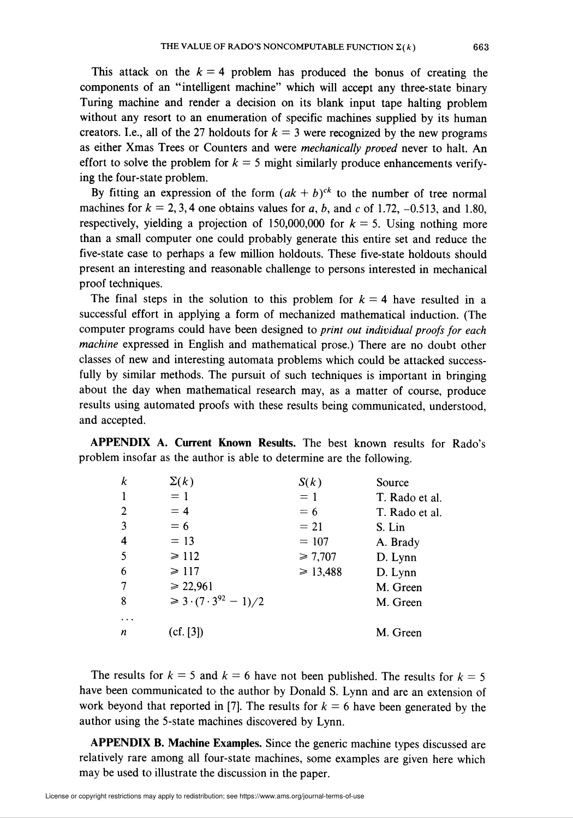This attack on the  $k = 4$  problem has produced the bonus of creating the components of an "intelligent machine" which will accept any three-state binary Turing machine and render a decision on its blank input tape halting problem without any resort to an enumeration of specific machines supplied by its human creators. I.e., all of the 27 holdouts for  $k = 3$  were recognized by the new programs as either Xmas Trees or Counters and were mechanically proved never to halt. An effort to solve the problem for  $k = 5$  might similarly produce enhancements verifying the four-state problem.

By fitting an expression of the form  $(ak + b)^{ck}$  to the number of tree normal machines for  $k = 2, 3, 4$  one obtains values for a, b, and c of 1.72, -0.513, and 1.80, respectively, yielding a projection of 150,000,000 for  $k = 5$ . Using nothing more than a small computer one could probably generate this entire set and reduce the five-state case to perhaps a few milhon holdouts. These five-state holdouts should present an interesting and reasonable challenge to persons interested in mechanical proof techniques.

The final steps in the solution to this problem for  $k = 4$  have resulted in a successful effort in applying a form of mechanized mathematical induction. (The computer programs could have been designed to print out individual proofs for each machine expressed in English and mathematical prose.) There are no doubt other classes of new and interesting automata problems which could be attacked successfully by similar methods. The pursuit of such techniques is important in bringing about the day when mathematical research may, as a matter of course, produce results using automated proofs with these results being communicated, understood, and accepted.

APPENDIX A. Current Known Results. The best known results for Rado's problem insofar as the author is able to determine are the following.

| k                       | $\Sigma(k)$                           | S(k)         | Source         |
|-------------------------|---------------------------------------|--------------|----------------|
| -1                      | $= 1$                                 | $= 1$        | T. Rado et al. |
| 2                       | $= 4$                                 | $= 6$        | T. Rado et al. |
| $\overline{3}$          | $= 6$                                 | $=21$        | S. Lin         |
| $\overline{\mathbf{4}}$ | $= 13$                                | $= 107$      | A. Brady       |
| 5                       | $\geq 112$                            | ≥ 7,707      | D. Lynn        |
| 6                       | $\geq 117$                            | $\ge 13,488$ | D. Lynn        |
| 7                       | $\ge 22,961$                          |              | M. Green       |
| 8                       | $\geq 3 \cdot (7 \cdot 3^{92} - 1)/2$ |              | M. Green       |
|                         |                                       |              |                |
| n                       | (cf. [3])                             |              | M. Green       |

The results for  $k = 5$  and  $k = 6$  have not been published. The results for  $k = 5$ have been communicated to the author by Donald S. Lynn and are an extension of work beyond that reported in [7]. The results for  $k = 6$  have been generated by the author using the 5-state machines discovered by Lynn.

APPENDIX B. Machine Examples. Since the generic machine types discussed are relatively rare among all four-state machines, some examples are given here which may be used to illustrate the discussion in the paper.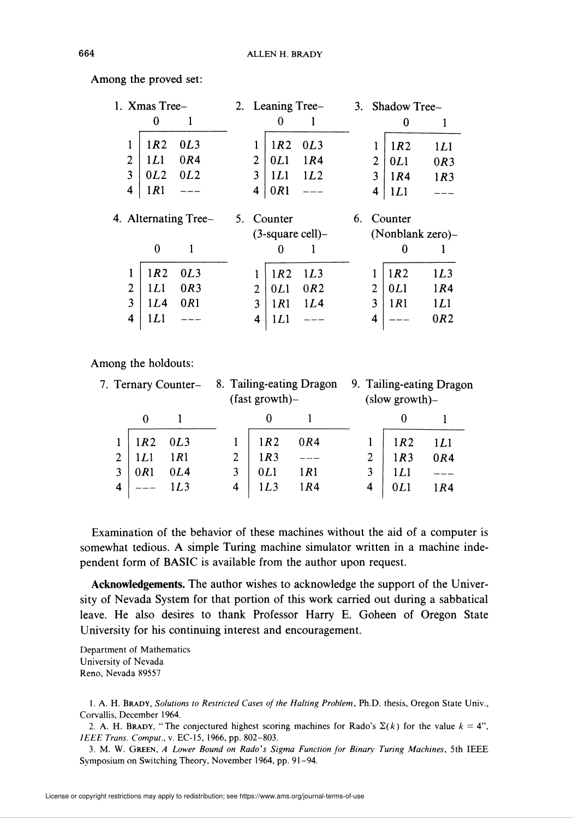| 1. Xmas Tree-        |     |     | 2. Leaning Tree- |                 |                        |    | 3. Shadow Tree- |              |                  |
|----------------------|-----|-----|------------------|-----------------|------------------------|----|-----------------|--------------|------------------|
|                      | 0   | l   |                  | 0               |                        |    |                 | 0            |                  |
| l                    | 1R2 | 0L3 |                  | 1R2             | 0L3                    |    |                 | 1R2          | 1L1              |
| 2                    | 1L1 | 0R4 | 2                | 0L1             | 1R4                    |    | 2               | 0L1          | 0R3              |
| 3                    | 0L2 | 0L2 | 3                | 1L1             | 1L2                    |    | 3               | 1R4          | 1R <sub>3</sub>  |
| 4                    | 1R1 |     | 4                | 0R1             |                        |    | 4               | 1L1          |                  |
| 4. Alternating Tree- |     |     |                  |                 |                        |    |                 |              |                  |
|                      |     |     |                  | 5. Counter      |                        | 6. |                 | Counter      |                  |
|                      |     |     |                  |                 | $(3$ -square cell $)-$ |    |                 |              | (Nonblank zero)- |
|                      | 0   |     |                  |                 |                        |    |                 |              |                  |
|                      | 1R2 | 0L3 |                  | 1R2             | 1L3                    |    |                 | 1R2          | 1L3              |
| 2                    | 1L1 | 0R3 | 2                | 0L1             | 0R2                    |    | 2               | 0L1          | 1R4              |
| 3                    | 1L4 | 0R1 | 3                | 1 <sub>R1</sub> | 1L4                    |    | 3               | 1 <i>R</i> 1 | 1L1              |

Among the proved set:

Among the holdouts:

| 7. Ternary Counter- 8. Tailing-eating Dragon |       |     | $(fast growth)$ - |              | 9. Tailing-eating Dragon<br>$(slow growth)$ - |     |       |  |
|----------------------------------------------|-------|-----|-------------------|--------------|-----------------------------------------------|-----|-------|--|
|                                              |       |     |                   |              |                                               |     |       |  |
|                                              | 1R2   | 0L3 | 1R2               | 0R4          |                                               | 1R2 | 1 L I |  |
| $\overline{c}$                               | 1 L 1 | 1R1 | 1R3               |              | 2                                             | 1R3 | 0R4   |  |
| 3                                            | 0R1   | 0L4 | 0L1               | 1 <i>R</i> 1 | 3                                             | 1L1 |       |  |
| 4                                            |       |     | 1L3               | 1R4          | 4                                             |     | 1 R 4 |  |

Examination of the behavior of these machines without the aid of a computer is somewhat tedious. A simple Turing machine simulator written in a machine independent form of BASIC is available from the author upon request.

Acknowledgements. The author wishes to acknowledge the support of the University of Nevada System for that portion of this work carried out during a sabbatical leave. He also desires to thank Professor Harry E. Goheen of Oregon State University for his continuing interest and encouragement.

Department of Mathematics University of Nevada Reno, Nevada 89557

1. A. H. BRADY, Solutions to Restricted Cases of the Halting Problem, Ph.D. thesis, Oregon State Univ., Corvallis, December 1964.

2. A. H. BRADY, "The conjectured highest scoring machines for Rado's  $\Sigma(k)$  for the value  $k = 4$ ", IEEE Trans. Comput., v. EC-15, 1966, pp. 802-803.

3. M. W. GREEN, A Lower Bound on Rado's Sigma Function for Binary Turing Machines, 5th IEEE Symposium on Switching Theory, November 1964, pp. 91-94.